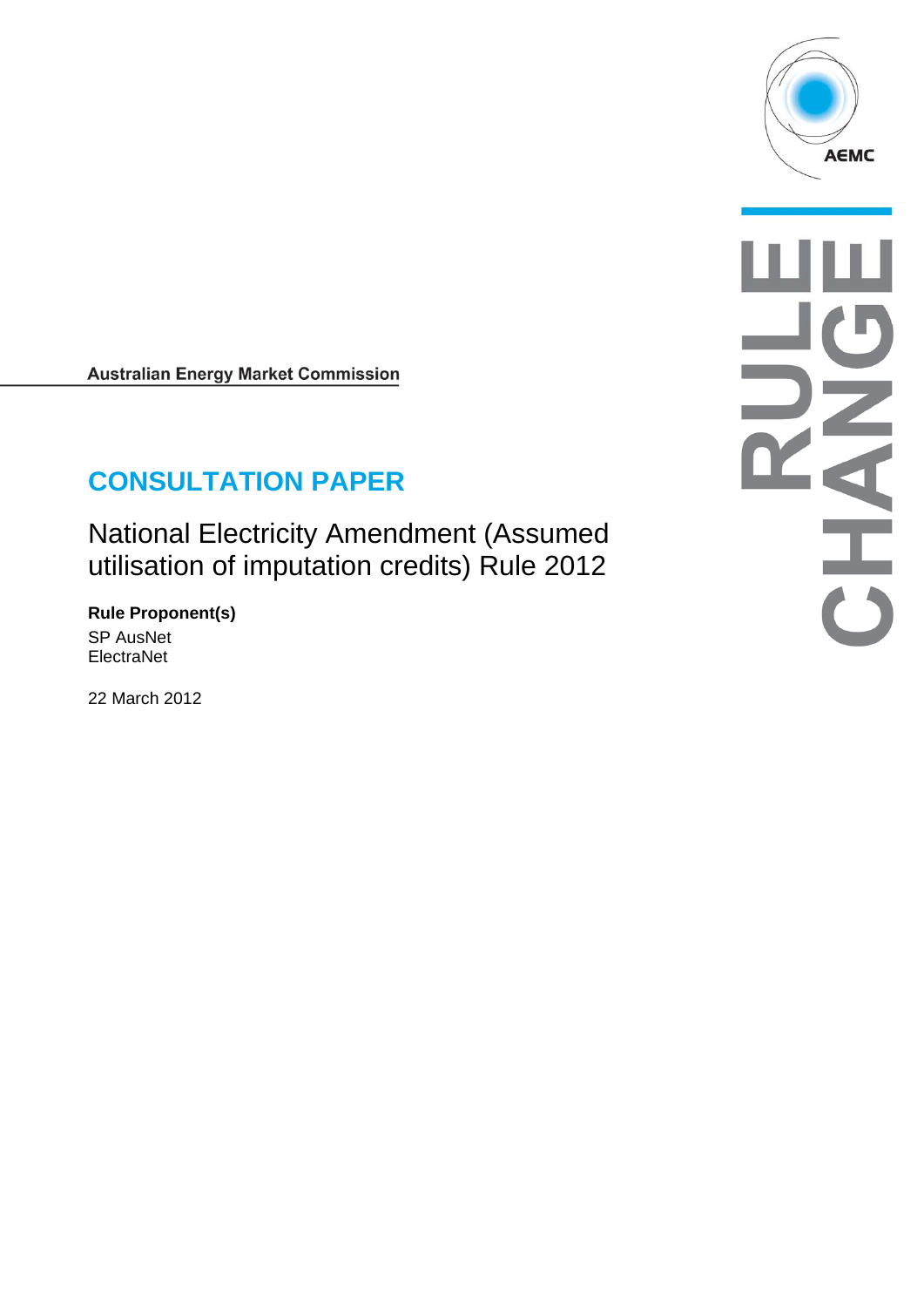

**Australian Energy Market Commission** 

# **CONSULTATION PAPER**

National Electricity Amendment (Assumed utilisation of imputation credits) Rule 2012

**Rule Proponent(s)**  SP AusNet ElectraNet

22 March 2012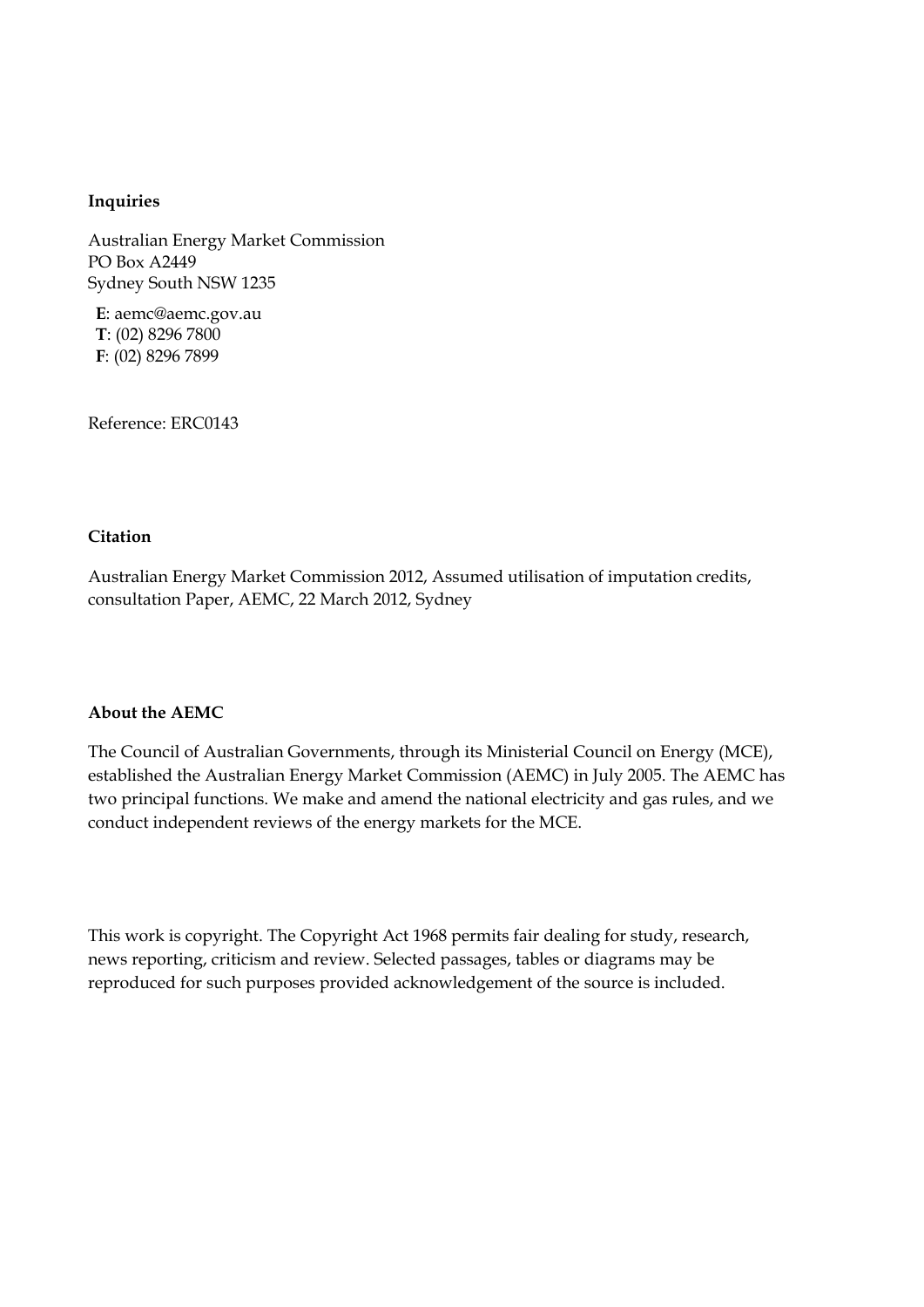#### **Inquiries**

Australian Energy Market Commission PO Box A2449 Sydney South NSW 1235

**E**: aemc@aemc.gov.au **T**: (02) 8296 7800 **F**: (02) 8296 7899

Reference: ERC0143

#### **Citation**

Australian Energy Market Commission 2012, Assumed utilisation of imputation credits, consultation Paper, AEMC, 22 March 2012, Sydney

#### **About the AEMC**

The Council of Australian Governments, through its Ministerial Council on Energy (MCE), established the Australian Energy Market Commission (AEMC) in July 2005. The AEMC has two principal functions. We make and amend the national electricity and gas rules, and we conduct independent reviews of the energy markets for the MCE.

This work is copyright. The Copyright Act 1968 permits fair dealing for study, research, news reporting, criticism and review. Selected passages, tables or diagrams may be reproduced for such purposes provided acknowledgement of the source is included.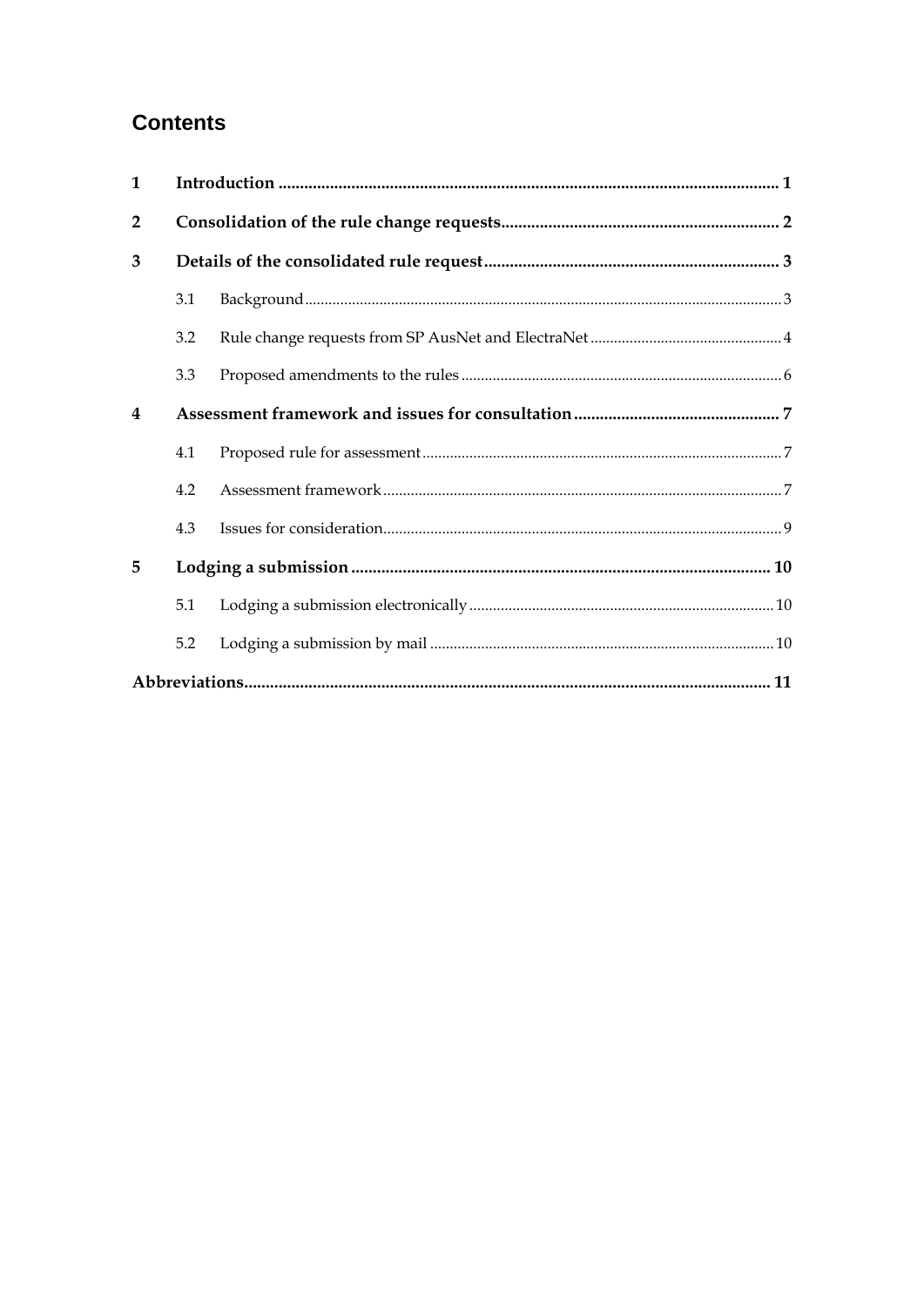## **Contents**

| $\mathbf{1}$            |     |  |  |  |
|-------------------------|-----|--|--|--|
| $\overline{2}$          |     |  |  |  |
| 3                       |     |  |  |  |
|                         | 3.1 |  |  |  |
|                         | 3.2 |  |  |  |
|                         | 3.3 |  |  |  |
| $\overline{\mathbf{4}}$ |     |  |  |  |
|                         | 4.1 |  |  |  |
|                         | 4.2 |  |  |  |
|                         | 4.3 |  |  |  |
| 5                       |     |  |  |  |
|                         | 5.1 |  |  |  |
|                         | 5.2 |  |  |  |
|                         |     |  |  |  |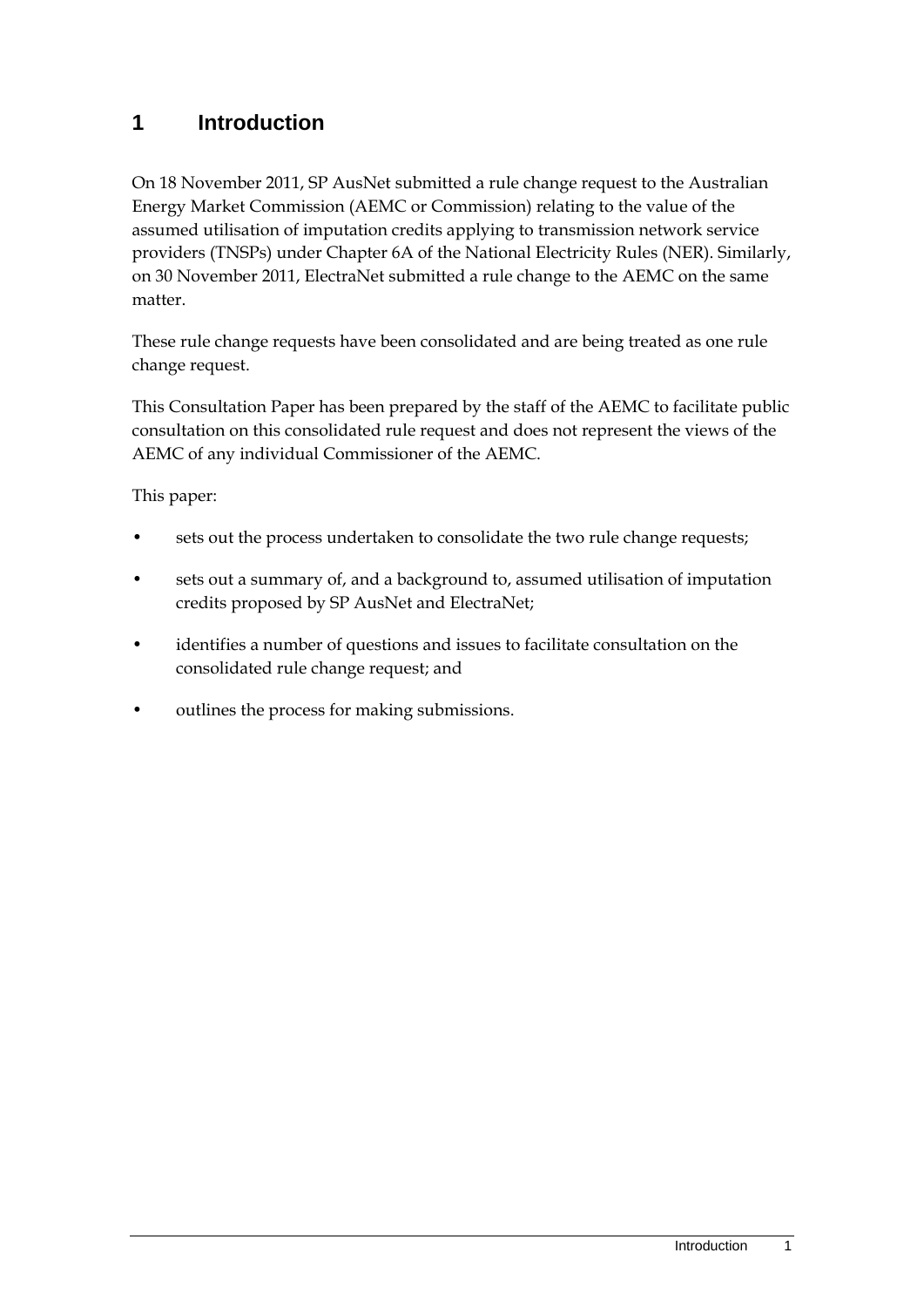### **1 Introduction**

On 18 November 2011, SP AusNet submitted a rule change request to the Australian Energy Market Commission (AEMC or Commission) relating to the value of the assumed utilisation of imputation credits applying to transmission network service providers (TNSPs) under Chapter 6A of the National Electricity Rules (NER). Similarly, on 30 November 2011, ElectraNet submitted a rule change to the AEMC on the same matter.

These rule change requests have been consolidated and are being treated as one rule change request.

This Consultation Paper has been prepared by the staff of the AEMC to facilitate public consultation on this consolidated rule request and does not represent the views of the AEMC of any individual Commissioner of the AEMC.

This paper:

- sets out the process undertaken to consolidate the two rule change requests;
- sets out a summary of, and a background to, assumed utilisation of imputation credits proposed by SP AusNet and ElectraNet;
- identifies a number of questions and issues to facilitate consultation on the consolidated rule change request; and
- outlines the process for making submissions.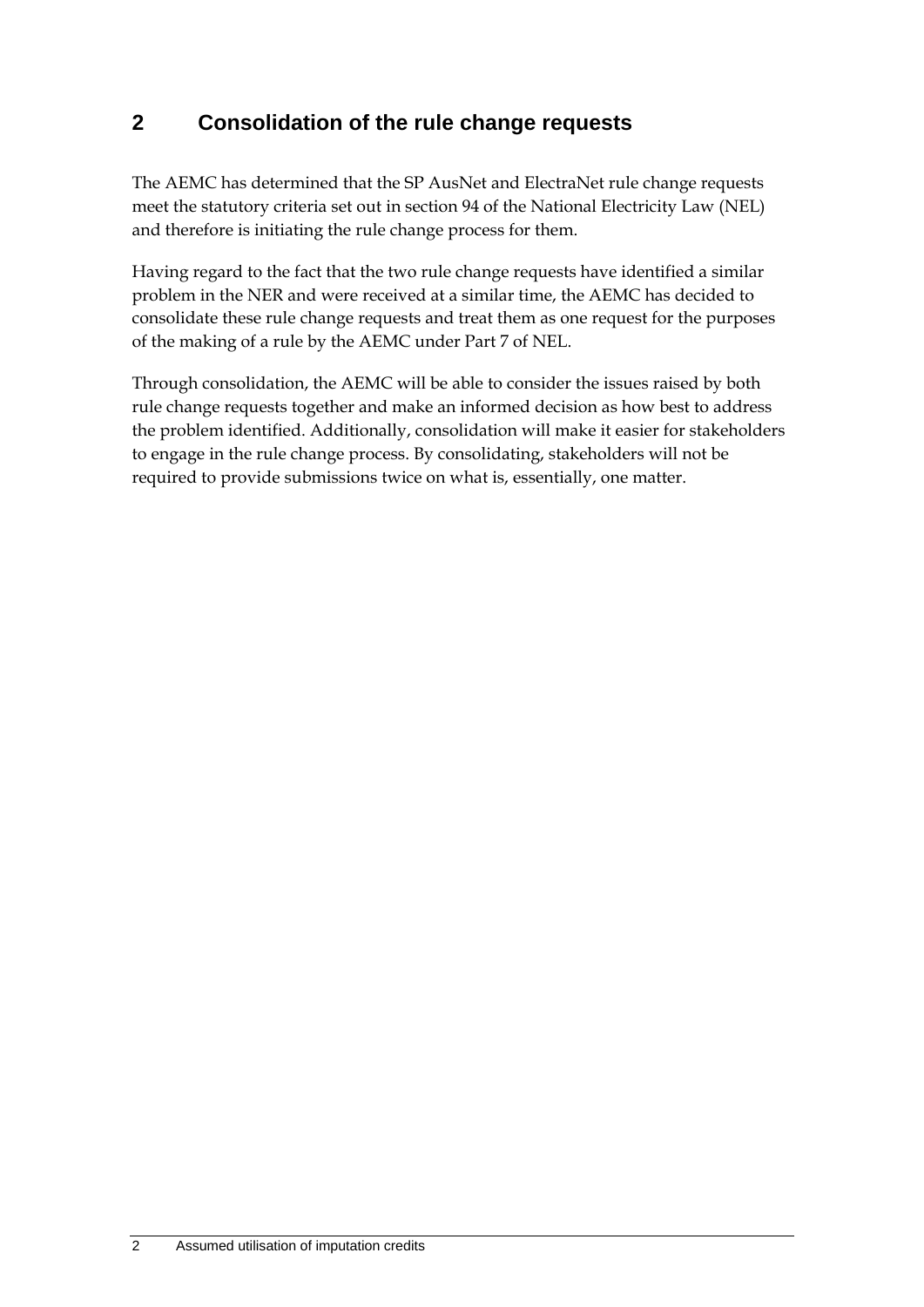### **2 Consolidation of the rule change requests**

The AEMC has determined that the SP AusNet and ElectraNet rule change requests meet the statutory criteria set out in section 94 of the National Electricity Law (NEL) and therefore is initiating the rule change process for them.

Having regard to the fact that the two rule change requests have identified a similar problem in the NER and were received at a similar time, the AEMC has decided to consolidate these rule change requests and treat them as one request for the purposes of the making of a rule by the AEMC under Part 7 of NEL.

Through consolidation, the AEMC will be able to consider the issues raised by both rule change requests together and make an informed decision as how best to address the problem identified. Additionally, consolidation will make it easier for stakeholders to engage in the rule change process. By consolidating, stakeholders will not be required to provide submissions twice on what is, essentially, one matter.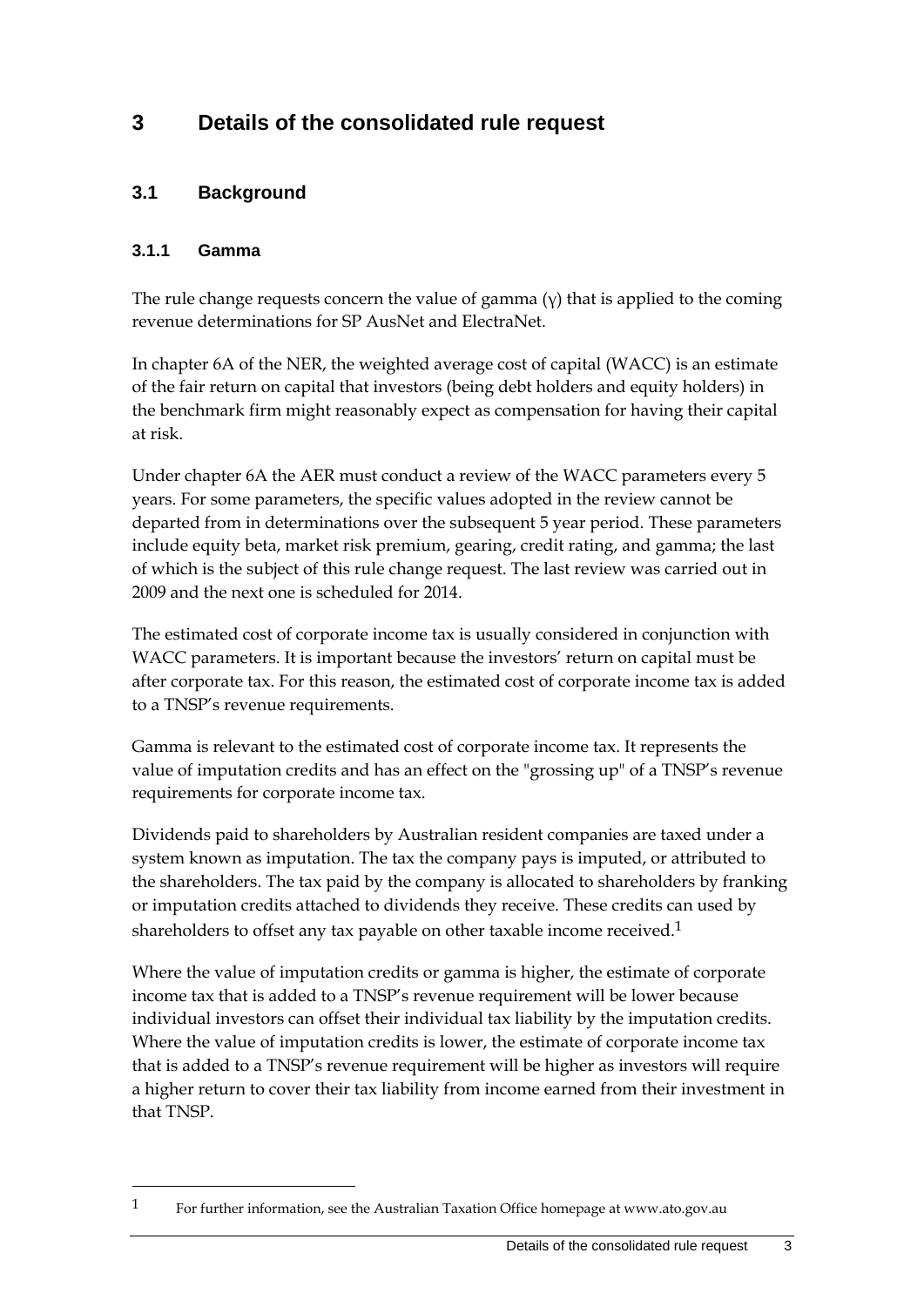## **3 Details of the consolidated rule request**

#### **3.1 Background**

#### **3.1.1 Gamma**

1

The rule change requests concern the value of gamma  $(y)$  that is applied to the coming revenue determinations for SP AusNet and ElectraNet.

In chapter 6A of the NER, the weighted average cost of capital (WACC) is an estimate of the fair return on capital that investors (being debt holders and equity holders) in the benchmark firm might reasonably expect as compensation for having their capital at risk.

Under chapter 6A the AER must conduct a review of the WACC parameters every 5 years. For some parameters, the specific values adopted in the review cannot be departed from in determinations over the subsequent 5 year period. These parameters include equity beta, market risk premium, gearing, credit rating, and gamma; the last of which is the subject of this rule change request. The last review was carried out in 2009 and the next one is scheduled for 2014.

The estimated cost of corporate income tax is usually considered in conjunction with WACC parameters. It is important because the investors' return on capital must be after corporate tax. For this reason, the estimated cost of corporate income tax is added to a TNSP's revenue requirements.

Gamma is relevant to the estimated cost of corporate income tax. It represents the value of imputation credits and has an effect on the "grossing up" of a TNSP's revenue requirements for corporate income tax.

Dividends paid to shareholders by Australian resident companies are taxed under a system known as imputation. The tax the company pays is imputed, or attributed to the shareholders. The tax paid by the company is allocated to shareholders by franking or imputation credits attached to dividends they receive. These credits can used by shareholders to offset any tax payable on other taxable income received.<sup>1</sup>

Where the value of imputation credits or gamma is higher, the estimate of corporate income tax that is added to a TNSP's revenue requirement will be lower because individual investors can offset their individual tax liability by the imputation credits. Where the value of imputation credits is lower, the estimate of corporate income tax that is added to a TNSP's revenue requirement will be higher as investors will require a higher return to cover their tax liability from income earned from their investment in that TNSP.

<sup>1</sup> For further information, see the Australian Taxation Office homepage at www.ato.gov.au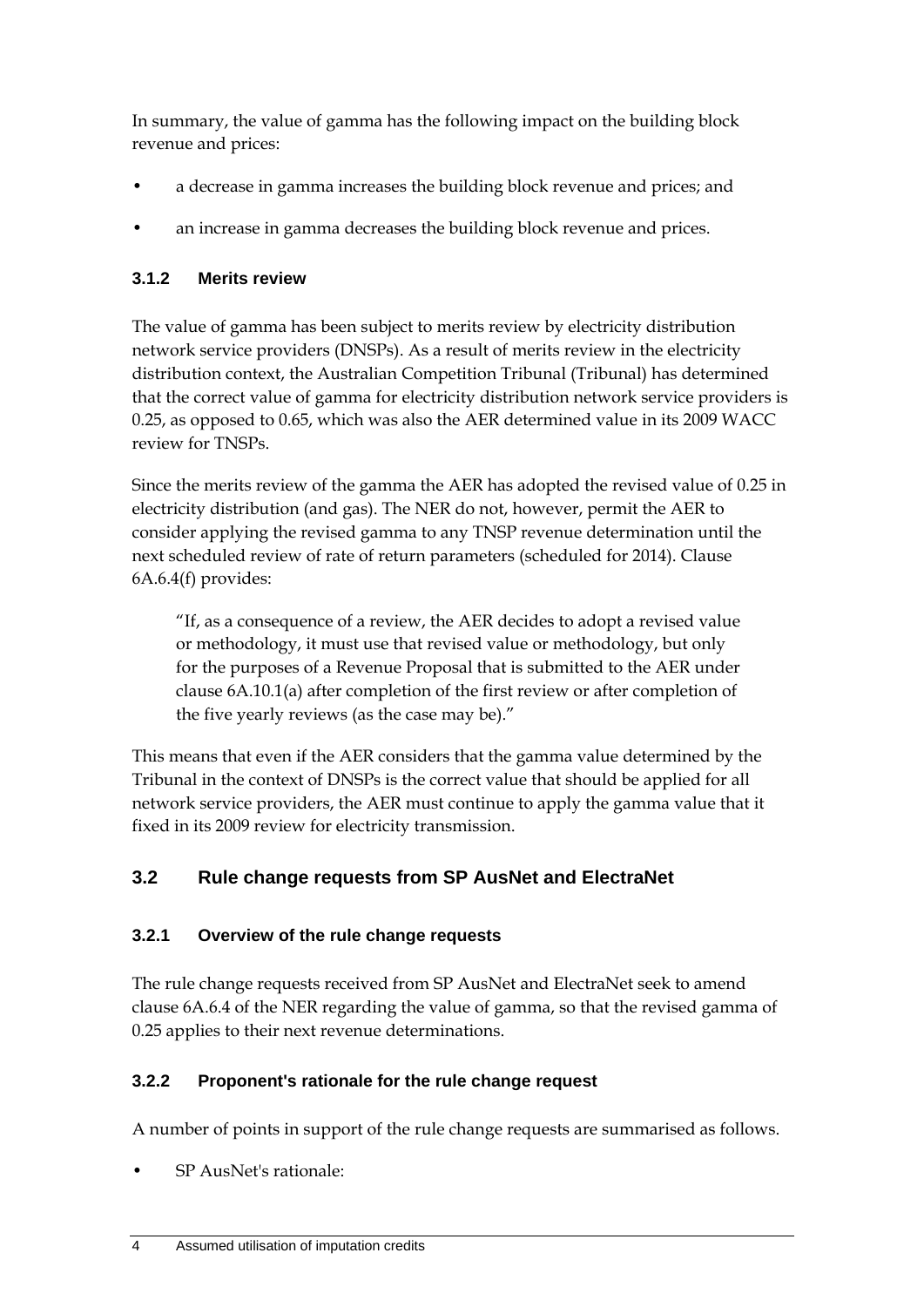In summary, the value of gamma has the following impact on the building block revenue and prices:

- a decrease in gamma increases the building block revenue and prices; and
- an increase in gamma decreases the building block revenue and prices.

#### **3.1.2 Merits review**

The value of gamma has been subject to merits review by electricity distribution network service providers (DNSPs). As a result of merits review in the electricity distribution context, the Australian Competition Tribunal (Tribunal) has determined that the correct value of gamma for electricity distribution network service providers is 0.25, as opposed to 0.65, which was also the AER determined value in its 2009 WACC review for TNSPs.

Since the merits review of the gamma the AER has adopted the revised value of 0.25 in electricity distribution (and gas). The NER do not, however, permit the AER to consider applying the revised gamma to any TNSP revenue determination until the next scheduled review of rate of return parameters (scheduled for 2014). Clause 6A.6.4(f) provides:

"If, as a consequence of a review, the AER decides to adopt a revised value or methodology, it must use that revised value or methodology, but only for the purposes of a Revenue Proposal that is submitted to the AER under clause 6A.10.1(a) after completion of the first review or after completion of the five yearly reviews (as the case may be)."

This means that even if the AER considers that the gamma value determined by the Tribunal in the context of DNSPs is the correct value that should be applied for all network service providers, the AER must continue to apply the gamma value that it fixed in its 2009 review for electricity transmission.

### **3.2 Rule change requests from SP AusNet and ElectraNet**

#### **3.2.1 Overview of the rule change requests**

The rule change requests received from SP AusNet and ElectraNet seek to amend clause 6A.6.4 of the NER regarding the value of gamma, so that the revised gamma of 0.25 applies to their next revenue determinations.

### **3.2.2 Proponent's rationale for the rule change request**

A number of points in support of the rule change requests are summarised as follows.

• SP AusNet's rationale: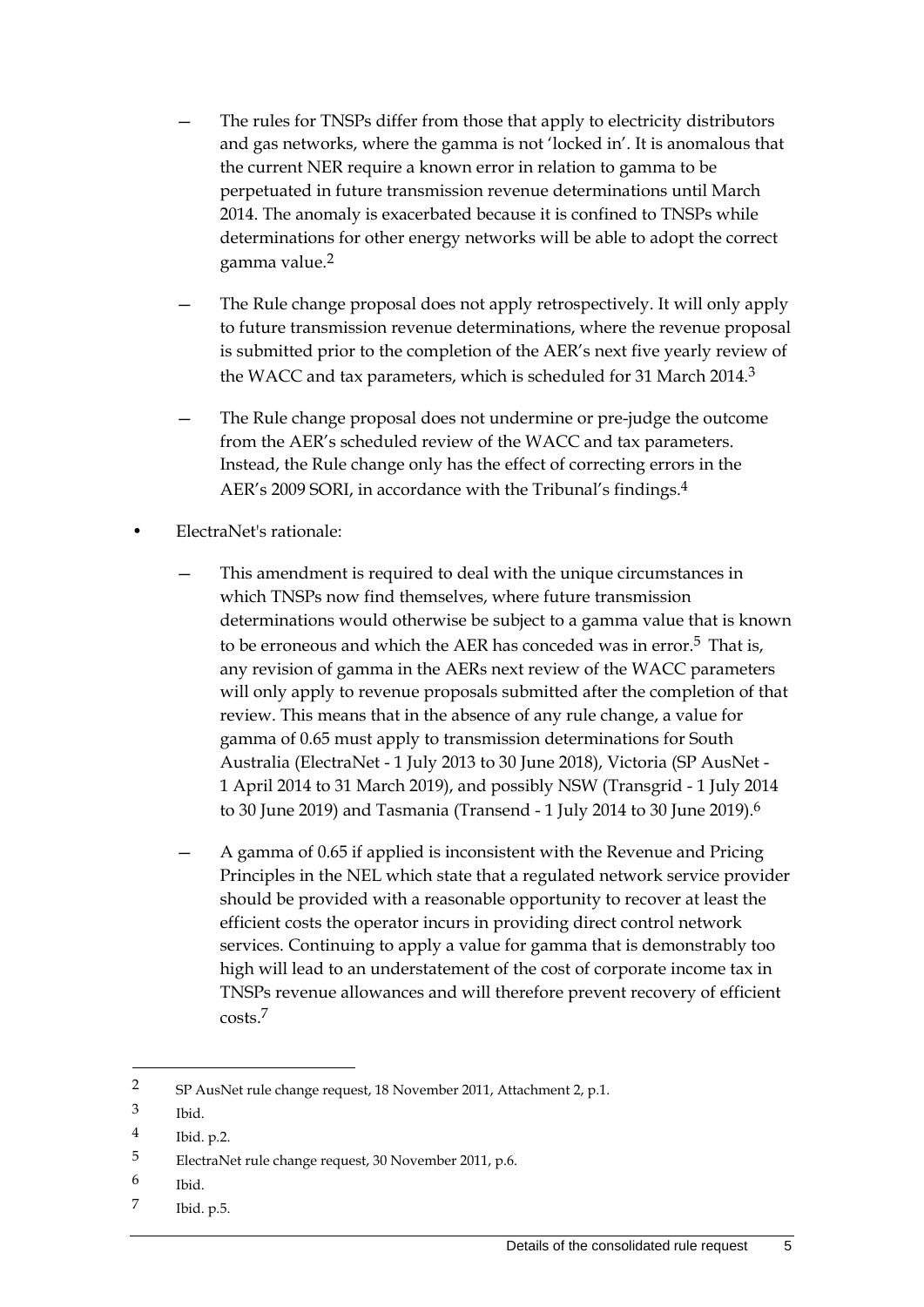- The rules for TNSPs differ from those that apply to electricity distributors and gas networks, where the gamma is not 'locked in'. It is anomalous that the current NER require a known error in relation to gamma to be perpetuated in future transmission revenue determinations until March 2014. The anomaly is exacerbated because it is confined to TNSPs while determinations for other energy networks will be able to adopt the correct gamma value.2
- The Rule change proposal does not apply retrospectively. It will only apply to future transmission revenue determinations, where the revenue proposal is submitted prior to the completion of the AER's next five yearly review of the WACC and tax parameters, which is scheduled for 31 March 2014.3
- The Rule change proposal does not undermine or pre-judge the outcome from the AER's scheduled review of the WACC and tax parameters. Instead, the Rule change only has the effect of correcting errors in the AER's 2009 SORI, in accordance with the Tribunal's findings.4
- ElectraNet's rationale:
	- This amendment is required to deal with the unique circumstances in which TNSPs now find themselves, where future transmission determinations would otherwise be subject to a gamma value that is known to be erroneous and which the AER has conceded was in error.<sup>5</sup> That is, any revision of gamma in the AERs next review of the WACC parameters will only apply to revenue proposals submitted after the completion of that review. This means that in the absence of any rule change, a value for gamma of 0.65 must apply to transmission determinations for South Australia (ElectraNet - 1 July 2013 to 30 June 2018), Victoria (SP AusNet - 1 April 2014 to 31 March 2019), and possibly NSW (Transgrid - 1 July 2014 to 30 June 2019) and Tasmania (Transend - 1 July 2014 to 30 June 2019).6
	- A gamma of 0.65 if applied is inconsistent with the Revenue and Pricing Principles in the NEL which state that a regulated network service provider should be provided with a reasonable opportunity to recover at least the efficient costs the operator incurs in providing direct control network services. Continuing to apply a value for gamma that is demonstrably too high will lead to an understatement of the cost of corporate income tax in TNSPs revenue allowances and will therefore prevent recovery of efficient costs.7

- 6 Ibid.
- 7 Ibid. p.5.

<sup>2</sup> SP AusNet rule change request, 18 November 2011, Attachment 2, p.1.

<sup>3</sup> Ibid.

<sup>4</sup> Ibid. p.2.

<sup>5</sup> ElectraNet rule change request, 30 November 2011, p.6.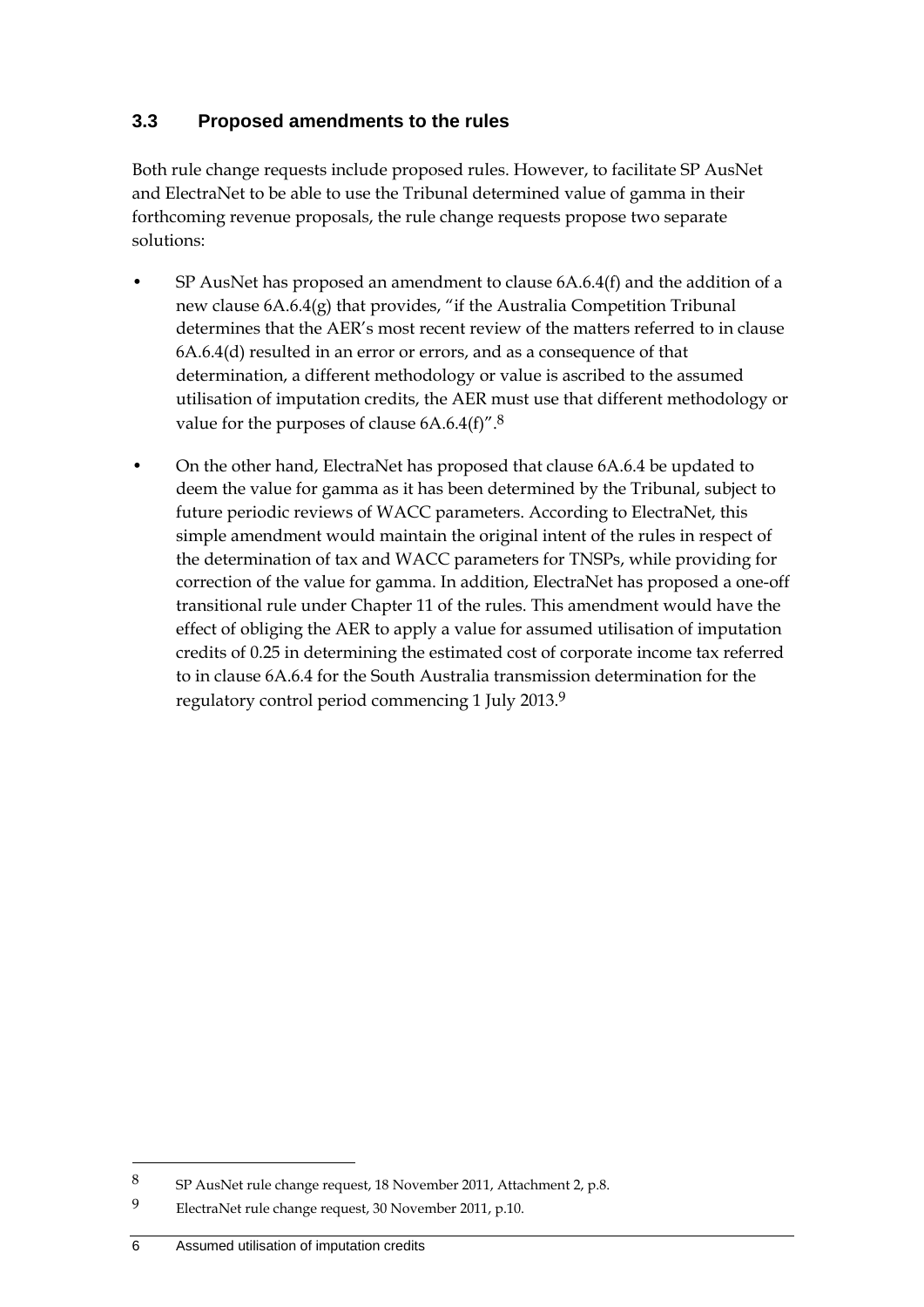#### **3.3 Proposed amendments to the rules**

Both rule change requests include proposed rules. However, to facilitate SP AusNet and ElectraNet to be able to use the Tribunal determined value of gamma in their forthcoming revenue proposals, the rule change requests propose two separate solutions:

- SP AusNet has proposed an amendment to clause 6A.6.4(f) and the addition of a new clause 6A.6.4(g) that provides, "if the Australia Competition Tribunal determines that the AER's most recent review of the matters referred to in clause 6A.6.4(d) resulted in an error or errors, and as a consequence of that determination, a different methodology or value is ascribed to the assumed utilisation of imputation credits, the AER must use that different methodology or value for the purposes of clause 6A.6.4(f)".8
- On the other hand, ElectraNet has proposed that clause 6A.6.4 be updated to deem the value for gamma as it has been determined by the Tribunal, subject to future periodic reviews of WACC parameters. According to ElectraNet, this simple amendment would maintain the original intent of the rules in respect of the determination of tax and WACC parameters for TNSPs, while providing for correction of the value for gamma. In addition, ElectraNet has proposed a one-off transitional rule under Chapter 11 of the rules. This amendment would have the effect of obliging the AER to apply a value for assumed utilisation of imputation credits of 0.25 in determining the estimated cost of corporate income tax referred to in clause 6A.6.4 for the South Australia transmission determination for the regulatory control period commencing 1 July 2013.9

<sup>8</sup> SP AusNet rule change request, 18 November 2011, Attachment 2, p.8.

<sup>9</sup> ElectraNet rule change request, 30 November 2011, p.10.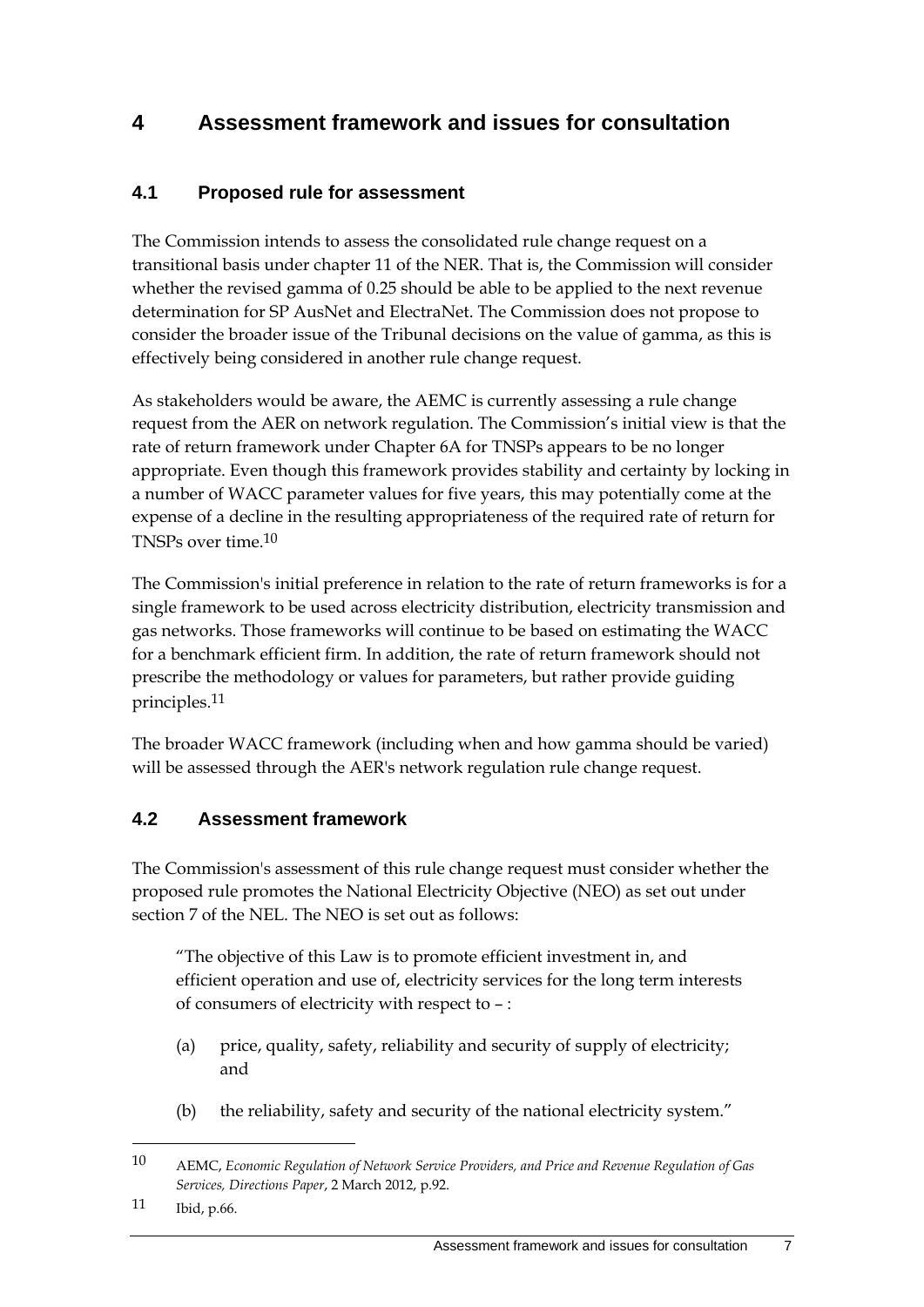## **4 Assessment framework and issues for consultation**

### **4.1 Proposed rule for assessment**

The Commission intends to assess the consolidated rule change request on a transitional basis under chapter 11 of the NER. That is, the Commission will consider whether the revised gamma of 0.25 should be able to be applied to the next revenue determination for SP AusNet and ElectraNet. The Commission does not propose to consider the broader issue of the Tribunal decisions on the value of gamma, as this is effectively being considered in another rule change request.

As stakeholders would be aware, the AEMC is currently assessing a rule change request from the AER on network regulation. The Commission's initial view is that the rate of return framework under Chapter 6A for TNSPs appears to be no longer appropriate. Even though this framework provides stability and certainty by locking in a number of WACC parameter values for five years, this may potentially come at the expense of a decline in the resulting appropriateness of the required rate of return for TNSPs over time.10

The Commission's initial preference in relation to the rate of return frameworks is for a single framework to be used across electricity distribution, electricity transmission and gas networks. Those frameworks will continue to be based on estimating the WACC for a benchmark efficient firm. In addition, the rate of return framework should not prescribe the methodology or values for parameters, but rather provide guiding principles.11

The broader WACC framework (including when and how gamma should be varied) will be assessed through the AER's network regulation rule change request.

#### **4.2 Assessment framework**

The Commission's assessment of this rule change request must consider whether the proposed rule promotes the National Electricity Objective (NEO) as set out under section 7 of the NEL. The NEO is set out as follows:

"The objective of this Law is to promote efficient investment in, and efficient operation and use of, electricity services for the long term interests of consumers of electricity with respect to – :

- (a) price, quality, safety, reliability and security of supply of electricity; and
- (b) the reliability, safety and security of the national electricity system."

11 Ibid, p.66.

<u>.</u>

<sup>10</sup> AEMC, *Economic Regulation of Network Service Providers, and Price and Revenue Regulation of Gas Services, Directions Paper*, 2 March 2012, p.92.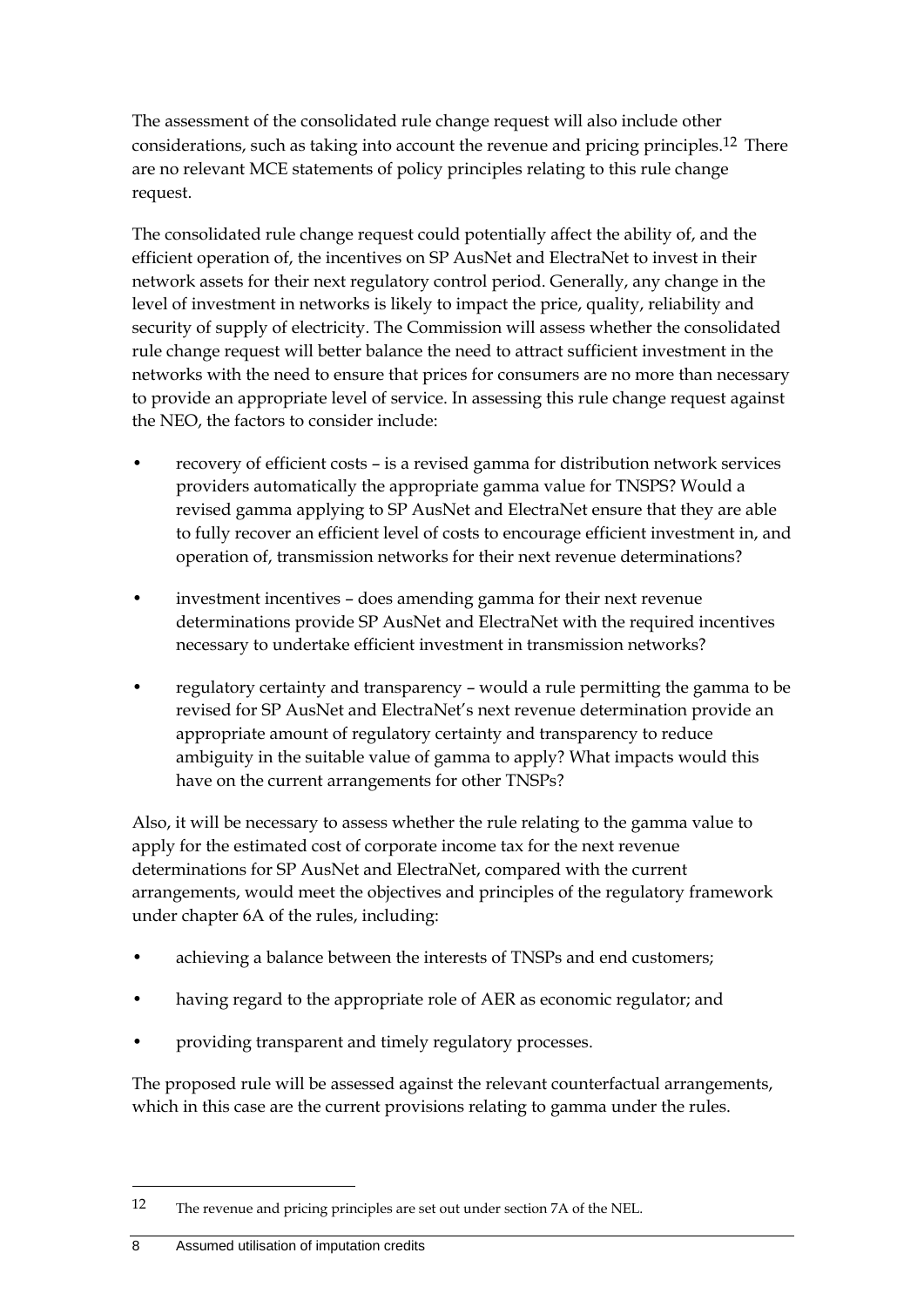The assessment of the consolidated rule change request will also include other considerations, such as taking into account the revenue and pricing principles.12 There are no relevant MCE statements of policy principles relating to this rule change request.

The consolidated rule change request could potentially affect the ability of, and the efficient operation of, the incentives on SP AusNet and ElectraNet to invest in their network assets for their next regulatory control period. Generally, any change in the level of investment in networks is likely to impact the price, quality, reliability and security of supply of electricity. The Commission will assess whether the consolidated rule change request will better balance the need to attract sufficient investment in the networks with the need to ensure that prices for consumers are no more than necessary to provide an appropriate level of service. In assessing this rule change request against the NEO, the factors to consider include:

- recovery of efficient costs is a revised gamma for distribution network services providers automatically the appropriate gamma value for TNSPS? Would a revised gamma applying to SP AusNet and ElectraNet ensure that they are able to fully recover an efficient level of costs to encourage efficient investment in, and operation of, transmission networks for their next revenue determinations?
- investment incentives does amending gamma for their next revenue determinations provide SP AusNet and ElectraNet with the required incentives necessary to undertake efficient investment in transmission networks?
- regulatory certainty and transparency would a rule permitting the gamma to be revised for SP AusNet and ElectraNet's next revenue determination provide an appropriate amount of regulatory certainty and transparency to reduce ambiguity in the suitable value of gamma to apply? What impacts would this have on the current arrangements for other TNSPs?

Also, it will be necessary to assess whether the rule relating to the gamma value to apply for the estimated cost of corporate income tax for the next revenue determinations for SP AusNet and ElectraNet, compared with the current arrangements, would meet the objectives and principles of the regulatory framework under chapter 6A of the rules, including:

- achieving a balance between the interests of TNSPs and end customers;
- having regard to the appropriate role of AER as economic regulator; and
- providing transparent and timely regulatory processes.

The proposed rule will be assessed against the relevant counterfactual arrangements, which in this case are the current provisions relating to gamma under the rules.

<sup>12</sup> The revenue and pricing principles are set out under section 7A of the NEL.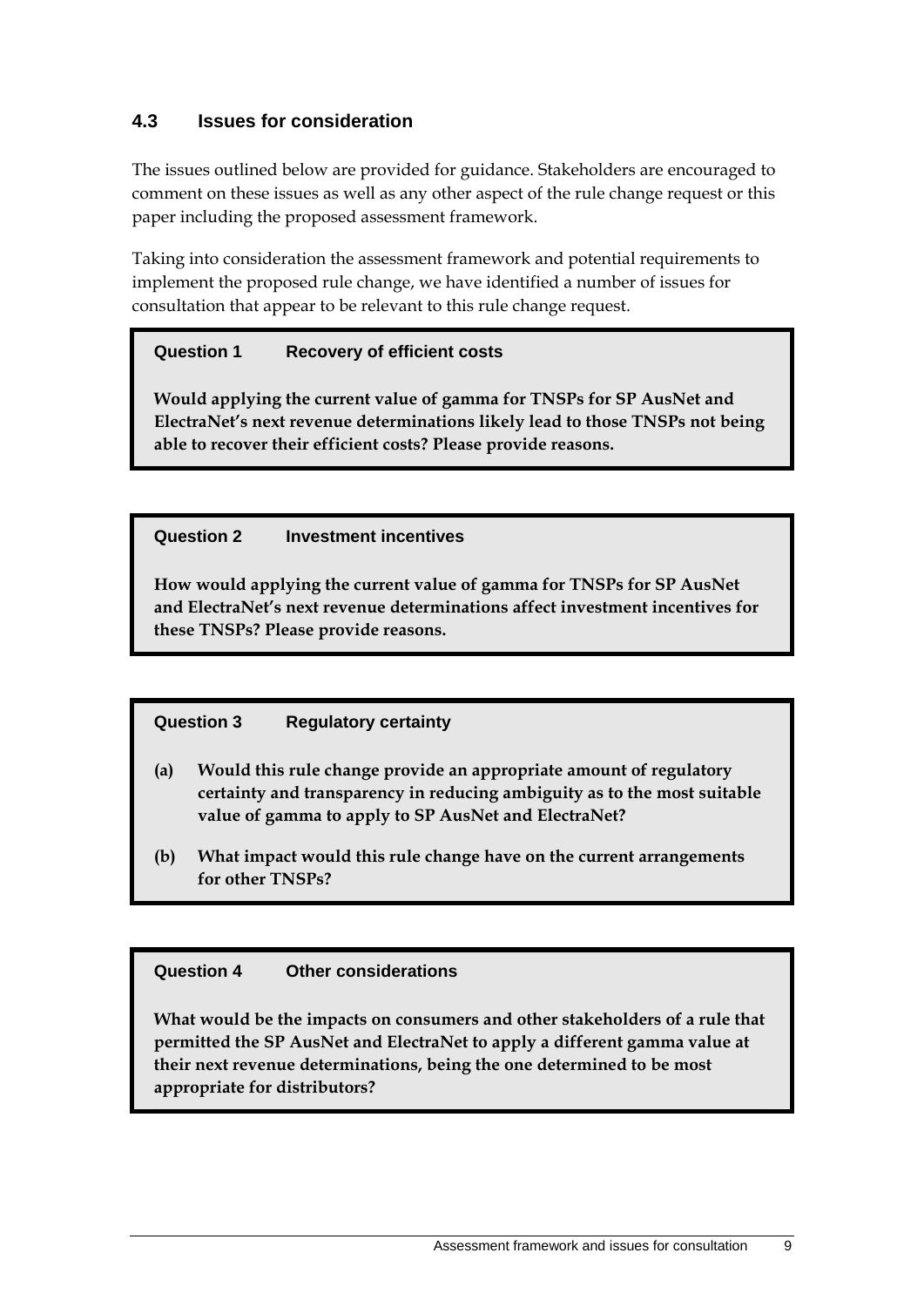#### **4.3 Issues for consideration**

The issues outlined below are provided for guidance. Stakeholders are encouraged to comment on these issues as well as any other aspect of the rule change request or this paper including the proposed assessment framework.

Taking into consideration the assessment framework and potential requirements to implement the proposed rule change, we have identified a number of issues for consultation that appear to be relevant to this rule change request.

#### **Question 1 Recovery of efficient costs**

**Would applying the current value of gamma for TNSPs for SP AusNet and ElectraNet's next revenue determinations likely lead to those TNSPs not being able to recover their efficient costs? Please provide reasons.** 

#### **Question 2 Investment incentives**

**How would applying the current value of gamma for TNSPs for SP AusNet and ElectraNet's next revenue determinations affect investment incentives for these TNSPs? Please provide reasons.** 

#### **Question 3 Regulatory certainty**

- **(a) Would this rule change provide an appropriate amount of regulatory certainty and transparency in reducing ambiguity as to the most suitable value of gamma to apply to SP AusNet and ElectraNet?**
- **(b) What impact would this rule change have on the current arrangements for other TNSPs?**

#### **Question 4 Other considerations**

**What would be the impacts on consumers and other stakeholders of a rule that permitted the SP AusNet and ElectraNet to apply a different gamma value at their next revenue determinations, being the one determined to be most appropriate for distributors?**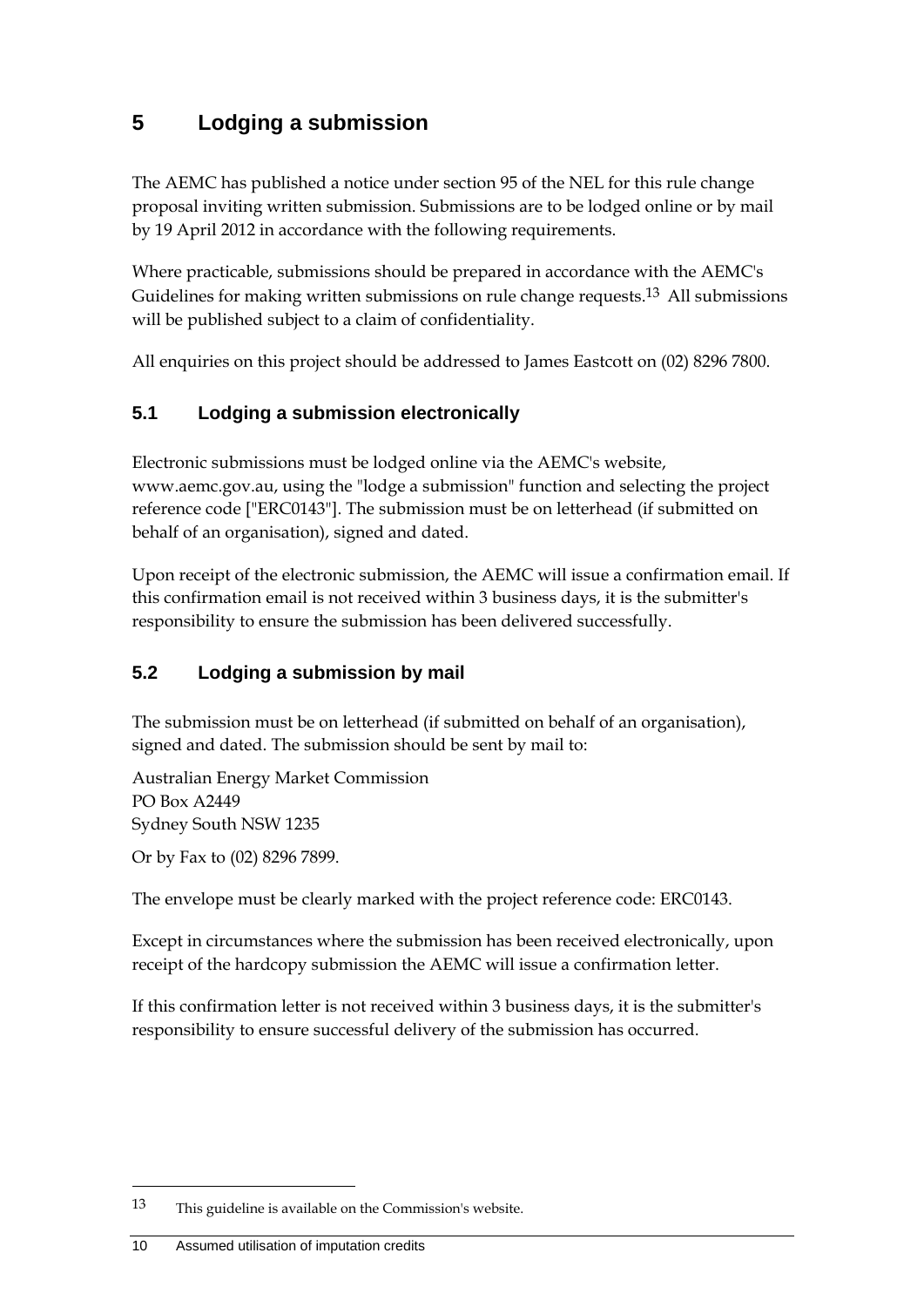## **5 Lodging a submission**

The AEMC has published a notice under section 95 of the NEL for this rule change proposal inviting written submission. Submissions are to be lodged online or by mail by 19 April 2012 in accordance with the following requirements.

Where practicable, submissions should be prepared in accordance with the AEMC's Guidelines for making written submissions on rule change requests.13 All submissions will be published subject to a claim of confidentiality.

All enquiries on this project should be addressed to James Eastcott on (02) 8296 7800.

### **5.1 Lodging a submission electronically**

Electronic submissions must be lodged online via the AEMC's website, www.aemc.gov.au, using the "lodge a submission" function and selecting the project reference code ["ERC0143"]. The submission must be on letterhead (if submitted on behalf of an organisation), signed and dated.

Upon receipt of the electronic submission, the AEMC will issue a confirmation email. If this confirmation email is not received within 3 business days, it is the submitter's responsibility to ensure the submission has been delivered successfully.

### **5.2 Lodging a submission by mail**

The submission must be on letterhead (if submitted on behalf of an organisation), signed and dated. The submission should be sent by mail to:

Australian Energy Market Commission PO Box A2449 Sydney South NSW 1235

Or by Fax to (02) 8296 7899.

The envelope must be clearly marked with the project reference code: ERC0143.

Except in circumstances where the submission has been received electronically, upon receipt of the hardcopy submission the AEMC will issue a confirmation letter.

If this confirmation letter is not received within 3 business days, it is the submitter's responsibility to ensure successful delivery of the submission has occurred.

<sup>13</sup> This guideline is available on the Commission's website.